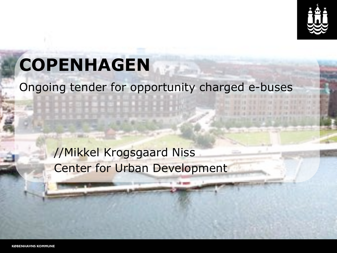

### **COPENHAGEN**

#### Ongoing tender for opportunity charged e-buses

//Mikkel Krogsgaard Niss Center for Urban Development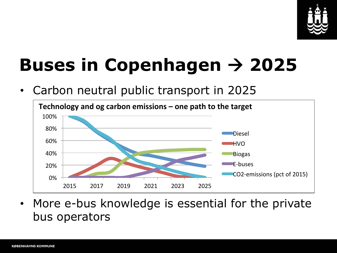

# **Buses in Copenhagen** ! **2025**

• Carbon neutral public transport in 2025



• More e-bus knowledge is essential for the private bus operators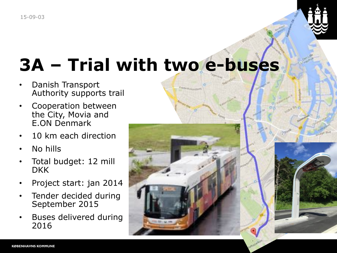

## **3A – Trial with two e-buses**

Frederik szumdart

- Danish Transport Authority supports trail
- Cooperation between the City, Movia and E.ON Denmark
- 10 km each direction
- No hills
- Total budget: 12 mill DKK
- Project start: jan 2014
- Tender decided during September 2015
- Buses delivered during 2016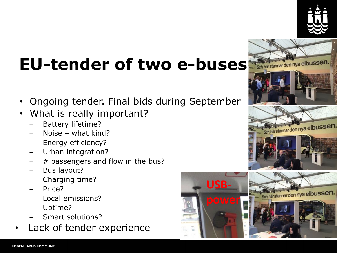

## EU-tender of two e-buses **Statemardennya elbussen.**

- Ongoing tender. Final bids during September
- What is really important?
	- Battery lifetime?
	- Noise what kind?
	- Energy efficiency?
	- Urban integration?
	- $#$  passengers and flow in the bus?
	- Bus layout?
	- Charging time?
	- Price?
	- Local emissions?
	- Uptime?
	- Smart solutions?
- Lack of tender experience



**USB-**